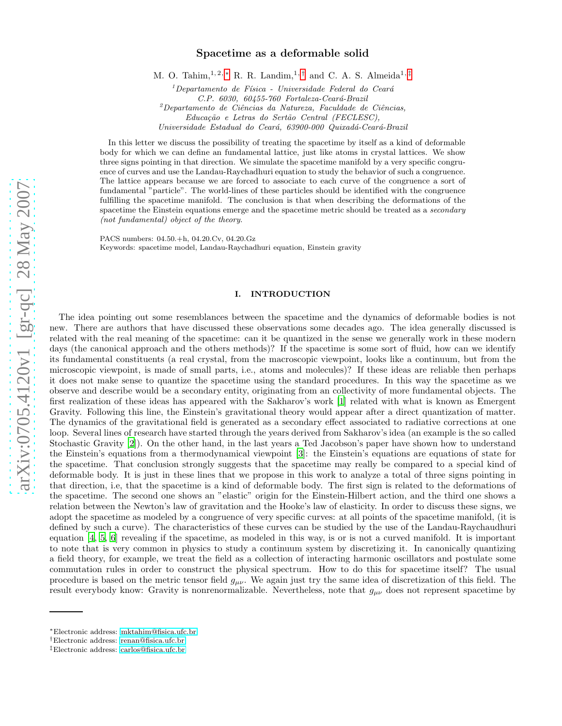# Spacetime as a deformable solid

M. O. Tahim,  $1, 2, *$  R. R. Landim,  $1, †$  $1, †$  and C. A. S. Almeida $1, †$ 

 $1$ Departamento de Física - Universidade Federal do Ceará C.P. 6030, 60455-760 Fortaleza-Ceará-Brazil  ${}^{2}$ Departamento de Ciências da Natureza, Faculdade de Ciências, Educação e Letras do Sertão Central (FECLESC), Universidade Estadual do Ceará, 63900-000 Quixadá-Ceará-Brazil

In this letter we discuss the possibility of treating the spacetime by itself as a kind of deformable body for which we can define an fundamental lattice, just like atoms in crystal lattices. We show three signs pointing in that direction. We simulate the spacetime manifold by a very specific congruence of curves and use the Landau-Raychadhuri equation to study the behavior of such a congruence. The lattice appears because we are forced to associate to each curve of the congruence a sort of fundamental "particle". The world-lines of these particles should be identified with the congruence fulfilling the spacetime manifold. The conclusion is that when describing the deformations of the spacetime the Einstein equations emerge and the spacetime metric should be treated as a secondary (not fundamental) object of the theory.

PACS numbers: 04.50.+h, 04.20.Cv, 04.20.Gz Keywords: spacetime model, Landau-Raychadhuri equation, Einstein gravity

# I. INTRODUCTION

The idea pointing out some resemblances between the spacetime and the dynamics of deformable bodies is not new. There are authors that have discussed these observations some decades ago. The idea generally discussed is related with the real meaning of the spacetime: can it be quantized in the sense we generally work in these modern days (the canonical approach and the others methods)? If the spacetime is some sort of fluid, how can we identify its fundamental constituents (a real crystal, from the macroscopic viewpoint, looks like a continuum, but from the microscopic viewpoint, is made of small parts, i.e., atoms and molecules)? If these ideas are reliable then perhaps it does not make sense to quantize the spacetime using the standard procedures. In this way the spacetime as we observe and describe would be a secondary entity, originating from an collectivity of more fundamental objects. The first realization of these ideas has appeared with the Sakharov's work [\[1\]](#page-4-0) related with what is known as Emergent Gravity. Following this line, the Einstein's gravitational theory would appear after a direct quantization of matter. The dynamics of the gravitational field is generated as a secondary effect associated to radiative corrections at one loop. Several lines of research have started through the years derived from Sakharov's idea (an example is the so called Stochastic Gravity [\[2](#page-4-1)]). On the other hand, in the last years a Ted Jacobson's paper have shown how to understand the Einstein's equations from a thermodynamical viewpoint [\[3](#page-4-2)]: the Einstein's equations are equations of state for the spacetime. That conclusion strongly suggests that the spacetime may really be compared to a special kind of deformable body. It is just in these lines that we propose in this work to analyze a total of three signs pointing in that direction, i.e, that the spacetime is a kind of deformable body. The first sign is related to the deformations of the spacetime. The second one shows an "elastic" origin for the Einstein-Hilbert action, and the third one shows a relation between the Newton's law of gravitation and the Hooke's law of elasticity. In order to discuss these signs, we adopt the spacetime as modeled by a congruence of very specific curves: at all points of the spacetime manifold, (it is defined by such a curve). The characteristics of these curves can be studied by the use of the Landau-Raychaudhuri equation [\[4,](#page-4-3) [5](#page-4-4), [6\]](#page-4-5) revealing if the spacetime, as modeled in this way, is or is not a curved manifold. It is important to note that is very common in physics to study a continuum system by discretizing it. In canonically quantizing a field theory, for example, we treat the field as a collection of interacting harmonic oscillators and postulate some commutation rules in order to construct the physical spectrum. How to do this for spacetime itself? The usual procedure is based on the metric tensor field  $g_{\mu\nu}$ . We again just try the same idea of discretization of this field. The result everybody know: Gravity is nonrenormalizable. Nevertheless, note that  $g_{\mu\nu}$  does not represent spacetime by

<span id="page-0-0"></span><sup>∗</sup>Electronic address: [mktahim@fisica.ufc.br](mailto:mktahim@fisica.ufc.br)

<span id="page-0-1"></span><sup>†</sup>Electronic address: [renan@fisica.ufc.br](mailto:renan@fisica.ufc.br)

<span id="page-0-2"></span><sup>‡</sup>Electronic address: [carlos@fisica.ufc.br](mailto:carlos@fisica.ufc.br)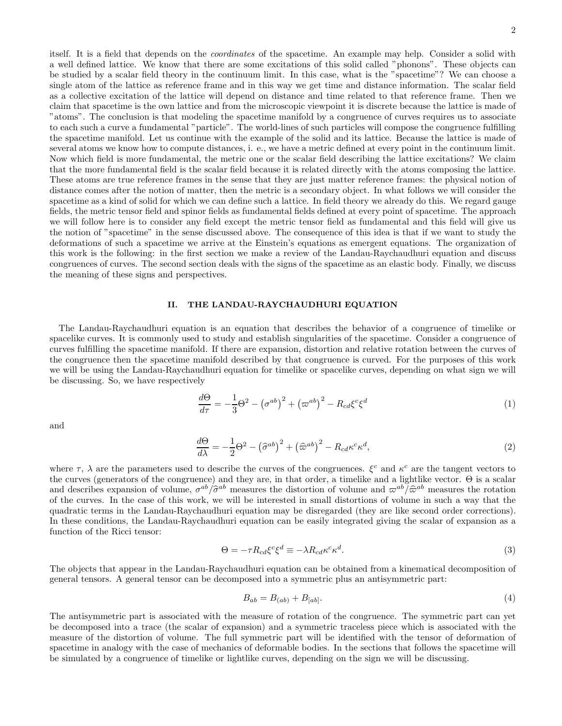itself. It is a field that depends on the coordinates of the spacetime. An example may help. Consider a solid with a well defined lattice. We know that there are some excitations of this solid called "phonons". These objects can be studied by a scalar field theory in the continuum limit. In this case, what is the "spacetime"? We can choose a single atom of the lattice as reference frame and in this way we get time and distance information. The scalar field as a collective excitation of the lattice will depend on distance and time related to that reference frame. Then we claim that spacetime is the own lattice and from the microscopic viewpoint it is discrete because the lattice is made of "atoms". The conclusion is that modeling the spacetime manifold by a congruence of curves requires us to associate to each such a curve a fundamental "particle". The world-lines of such particles will compose the congruence fulfilling the spacetime manifold. Let us continue with the example of the solid and its lattice. Because the lattice is made of several atoms we know how to compute distances, i. e., we have a metric defined at every point in the continuum limit. Now which field is more fundamental, the metric one or the scalar field describing the lattice excitations? We claim that the more fundamental field is the scalar field because it is related directly with the atoms composing the lattice. These atoms are true reference frames in the sense that they are just matter reference frames: the physical notion of distance comes after the notion of matter, then the metric is a secondary object. In what follows we will consider the spacetime as a kind of solid for which we can define such a lattice. In field theory we already do this. We regard gauge fields, the metric tensor field and spinor fields as fundamental fields defined at every point of spacetime. The approach we will follow here is to consider any field except the metric tensor field as fundamental and this field will give us the notion of "spacetime" in the sense discussed above. The consequence of this idea is that if we want to study the deformations of such a spacetime we arrive at the Einstein's equations as emergent equations. The organization of this work is the following: in the first section we make a review of the Landau-Raychaudhuri equation and discuss congruences of curves. The second section deals with the signs of the spacetime as an elastic body. Finally, we discuss the meaning of these signs and perspectives.

#### II. THE LANDAU-RAYCHAUDHURI EQUATION

The Landau-Raychaudhuri equation is an equation that describes the behavior of a congruence of timelike or spacelike curves. It is commonly used to study and establish singularities of the spacetime. Consider a congruence of curves fulfilling the spacetime manifold. If there are expansion, distortion and relative rotation between the curves of the congruence then the spacetime manifold described by that congruence is curved. For the purposes of this work we will be using the Landau-Raychaudhuri equation for timelike or spacelike curves, depending on what sign we will be discussing. So, we have respectively

$$
\frac{d\Theta}{d\tau} = -\frac{1}{3}\Theta^2 - (\sigma^{ab})^2 + (\varpi^{ab})^2 - R_{cd}\xi^c \xi^d \tag{1}
$$

and

$$
\frac{d\Theta}{d\lambda} = -\frac{1}{2}\Theta^2 - (\hat{\sigma}^{ab})^2 + (\hat{\varpi}^{ab})^2 - R_{cd}\kappa^c\kappa^d,\tag{2}
$$

where  $\tau$ ,  $\lambda$  are the parameters used to describe the curves of the congruences.  $\xi^c$  and  $\kappa^c$  are the tangent vectors to the curves (generators of the congruence) and they are, in that order, a timelike and a lightlike vector. Θ is a scalar and describes expansion of volume,  $\sigma^{ab}/\hat{\sigma}^{ab}$  measures the distortion of volume and  $\varpi^{ab}/\hat{\varpi}^{ab}$  measures the rotation of the curves. In the case of this work, we will be interested in small distortions of volume in such a way that the quadratic terms in the Landau-Raychaudhuri equation may be disregarded (they are like second order corrections). In these conditions, the Landau-Raychaudhuri equation can be easily integrated giving the scalar of expansion as a function of the Ricci tensor:

$$
\Theta = -\tau R_{cd}\xi^c \xi^d \equiv -\lambda R_{cd}\kappa^c \kappa^d. \tag{3}
$$

The objects that appear in the Landau-Raychaudhuri equation can be obtained from a kinematical decomposition of general tensors. A general tensor can be decomposed into a symmetric plus an antisymmetric part:

$$
B_{ab} = B_{(ab)} + B_{[ab]}.
$$
\n(4)

The antisymmetric part is associated with the measure of rotation of the congruence. The symmetric part can yet be decomposed into a trace (the scalar of expansion) and a symmetric traceless piece which is associated with the measure of the distortion of volume. The full symmetric part will be identified with the tensor of deformation of spacetime in analogy with the case of mechanics of deformable bodies. In the sections that follows the spacetime will be simulated by a congruence of timelike or lightlike curves, depending on the sign we will be discussing.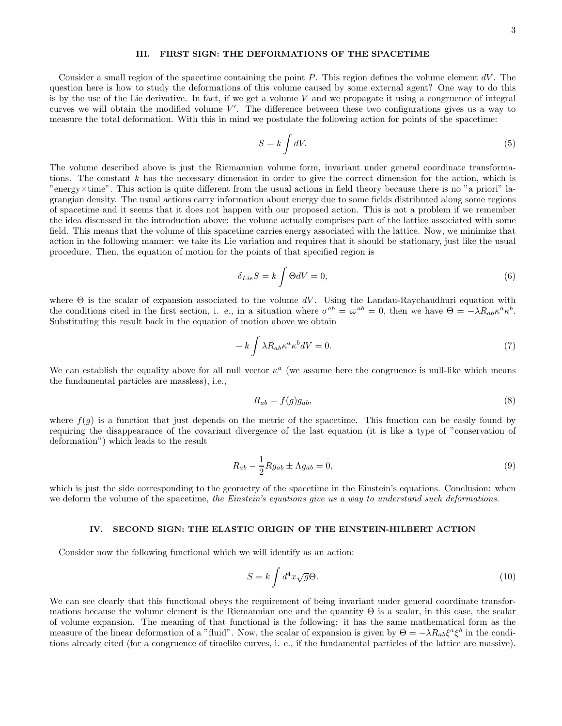### III. FIRST SIGN: THE DEFORMATIONS OF THE SPACETIME

Consider a small region of the spacetime containing the point  $P$ . This region defines the volume element  $dV$ . The question here is how to study the deformations of this volume caused by some external agent? One way to do this is by the use of the Lie derivative. In fact, if we get a volume V and we propagate it using a congruence of integral curves we will obtain the modified volume  $V'$ . The difference between these two configurations gives us a way to measure the total deformation. With this in mind we postulate the following action for points of the spacetime:

$$
S = k \int dV. \tag{5}
$$

The volume described above is just the Riemannian volume form, invariant under general coordinate transformations. The constant  $k$  has the necessary dimension in order to give the correct dimension for the action, which is "energy×time". This action is quite different from the usual actions in field theory because there is no "a priori" lagrangian density. The usual actions carry information about energy due to some fields distributed along some regions of spacetime and it seems that it does not happen with our proposed action. This is not a problem if we remember the idea discussed in the introduction above: the volume actually comprises part of the lattice associated with some field. This means that the volume of this spacetime carries energy associated with the lattice. Now, we minimize that action in the following manner: we take its Lie variation and requires that it should be stationary, just like the usual procedure. Then, the equation of motion for the points of that specified region is

$$
\delta_{Lie}S = k \int \Theta dV = 0,\tag{6}
$$

where  $\Theta$  is the scalar of expansion associated to the volume dV. Using the Landau-Raychaudhuri equation with the conditions cited in the first section, i. e., in a situation where  $\sigma^{ab} = \sigma^{ab} = 0$ , then we have  $\Theta = -\lambda R_{ab} \kappa^a \kappa^b$ . Substituting this result back in the equation of motion above we obtain

$$
-k \int \lambda R_{ab} \kappa^a \kappa^b dV = 0. \tag{7}
$$

We can establish the equality above for all null vector  $\kappa^a$  (we assume here the congruence is null-like which means the fundamental particles are massless), i.e.,

$$
R_{ab} = f(g)g_{ab},\tag{8}
$$

where  $f(q)$  is a function that just depends on the metric of the spacetime. This function can be easily found by requiring the disappearance of the covariant divergence of the last equation (it is like a type of "conservation of deformation") which leads to the result

$$
R_{ab} - \frac{1}{2} R g_{ab} \pm \Lambda g_{ab} = 0,\tag{9}
$$

which is just the side corresponding to the geometry of the spacetime in the Einstein's equations. Conclusion: when we deform the volume of the spacetime, the Einstein's equations give us a way to understand such deformations.

## IV. SECOND SIGN: THE ELASTIC ORIGIN OF THE EINSTEIN-HILBERT ACTION

Consider now the following functional which we will identify as an action:

$$
S = k \int d^4x \sqrt{g} \Theta. \tag{10}
$$

We can see clearly that this functional obeys the requirement of being invariant under general coordinate transformations because the volume element is the Riemannian one and the quantity  $\Theta$  is a scalar, in this case, the scalar of volume expansion. The meaning of that functional is the following: it has the same mathematical form as the measure of the linear deformation of a "fluid". Now, the scalar of expansion is given by  $\Theta = -\lambda R_{ab}\xi^a \xi^b$  in the conditions already cited (for a congruence of timelike curves, i. e., if the fundamental particles of the lattice are massive).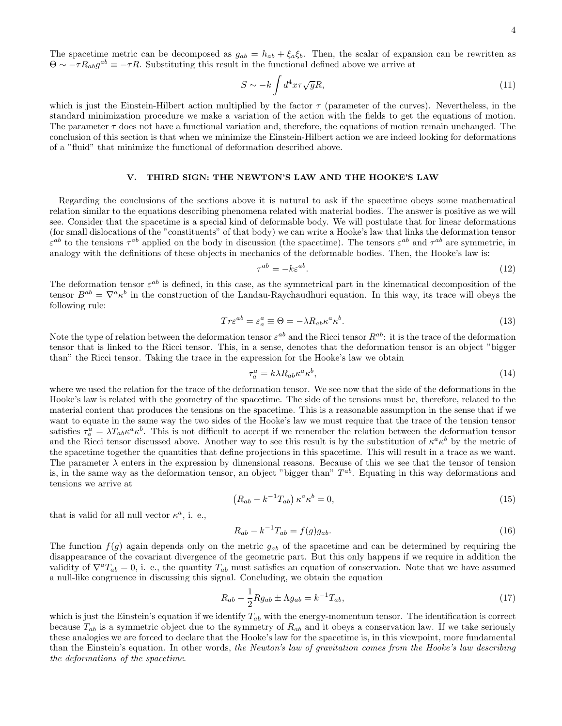The spacetime metric can be decomposed as  $g_{ab} = h_{ab} + \xi_a \xi_b$ . Then, the scalar of expansion can be rewritten as  $\Theta \sim -\tau R_{ab} g^{ab} \equiv -\tau R$ . Substituting this result in the functional defined above we arrive at

$$
S \sim -k \int d^4x \tau \sqrt{g} R,\tag{11}
$$

which is just the Einstein-Hilbert action multiplied by the factor  $\tau$  (parameter of the curves). Nevertheless, in the standard minimization procedure we make a variation of the action with the fields to get the equations of motion. The parameter  $\tau$  does not have a functional variation and, therefore, the equations of motion remain unchanged. The conclusion of this section is that when we minimize the Einstein-Hilbert action we are indeed looking for deformations of a "fluid" that minimize the functional of deformation described above.

## V. THIRD SIGN: THE NEWTON'S LAW AND THE HOOKE'S LAW

Regarding the conclusions of the sections above it is natural to ask if the spacetime obeys some mathematical relation similar to the equations describing phenomena related with material bodies. The answer is positive as we will see. Consider that the spacetime is a special kind of deformable body. We will postulate that for linear deformations (for small dislocations of the "constituents" of that body) we can write a Hooke's law that links the deformation tensor  $\varepsilon^{ab}$  to the tensions  $\tau^{ab}$  applied on the body in discussion (the spacetime). The tensors  $\varepsilon^{ab}$  and  $\tau^{ab}$  are symmetric, in analogy with the definitions of these objects in mechanics of the deformable bodies. Then, the Hooke's law is:

$$
\tau^{ab} = -k\varepsilon^{ab}.\tag{12}
$$

The deformation tensor  $\varepsilon^{ab}$  is defined, in this case, as the symmetrical part in the kinematical decomposition of the tensor  $B^{ab} = \nabla^a \kappa^b$  in the construction of the Landau-Raychaudhuri equation. In this way, its trace will obeys the following rule:

$$
Tr\varepsilon^{ab} = \varepsilon_a^a \equiv \Theta = -\lambda R_{ab}\kappa^a \kappa^b. \tag{13}
$$

Note the type of relation between the deformation tensor  $\varepsilon^{ab}$  and the Ricci tensor  $R^{ab}$ : it is the trace of the deformation tensor that is linked to the Ricci tensor. This, in a sense, denotes that the deformation tensor is an object "bigger than" the Ricci tensor. Taking the trace in the expression for the Hooke's law we obtain

$$
\tau_a^a = k \lambda R_{ab} \kappa^a \kappa^b,\tag{14}
$$

where we used the relation for the trace of the deformation tensor. We see now that the side of the deformations in the Hooke's law is related with the geometry of the spacetime. The side of the tensions must be, therefore, related to the material content that produces the tensions on the spacetime. This is a reasonable assumption in the sense that if we want to equate in the same way the two sides of the Hooke's law we must require that the trace of the tension tensor satisfies  $\tau_a^a = \lambda T_{ab} \kappa^a \kappa^b$ . This is not difficult to accept if we remember the relation between the deformation tensor and the Ricci tensor discussed above. Another way to see this result is by the substitution of  $\kappa^a \kappa^b$  by the metric of the spacetime together the quantities that define projections in this spacetime. This will result in a trace as we want. The parameter  $\lambda$  enters in the expression by dimensional reasons. Because of this we see that the tensor of tension is, in the same way as the deformation tensor, an object "bigger than"  $T^{ab}$ . Equating in this way deformations and tensions we arrive at

$$
\left(R_{ab} - k^{-1}T_{ab}\right)\kappa^a \kappa^b = 0,\tag{15}
$$

that is valid for all null vector  $\kappa^a$ , i. e.,

$$
R_{ab} - k^{-1}T_{ab} = f(g)g_{ab}.
$$
\n(16)

The function  $f(g)$  again depends only on the metric  $g_{ab}$  of the spacetime and can be determined by requiring the disappearance of the covariant divergence of the geometric part. But this only happens if we require in addition the validity of  $\nabla^a T_{ab} = 0$ , i. e., the quantity  $T_{ab}$  must satisfies an equation of conservation. Note that we have assumed a null-like congruence in discussing this signal. Concluding, we obtain the equation

$$
R_{ab} - \frac{1}{2} R g_{ab} \pm \Lambda g_{ab} = k^{-1} T_{ab},\tag{17}
$$

which is just the Einstein's equation if we identify  $T_{ab}$  with the energy-momentum tensor. The identification is correct because  $T_{ab}$  is a symmetric object due to the symmetry of  $R_{ab}$  and it obeys a conservation law. If we take seriously these analogies we are forced to declare that the Hooke's law for the spacetime is, in this viewpoint, more fundamental than the Einstein's equation. In other words, the Newton's law of gravitation comes from the Hooke's law describing the deformations of the spacetime.